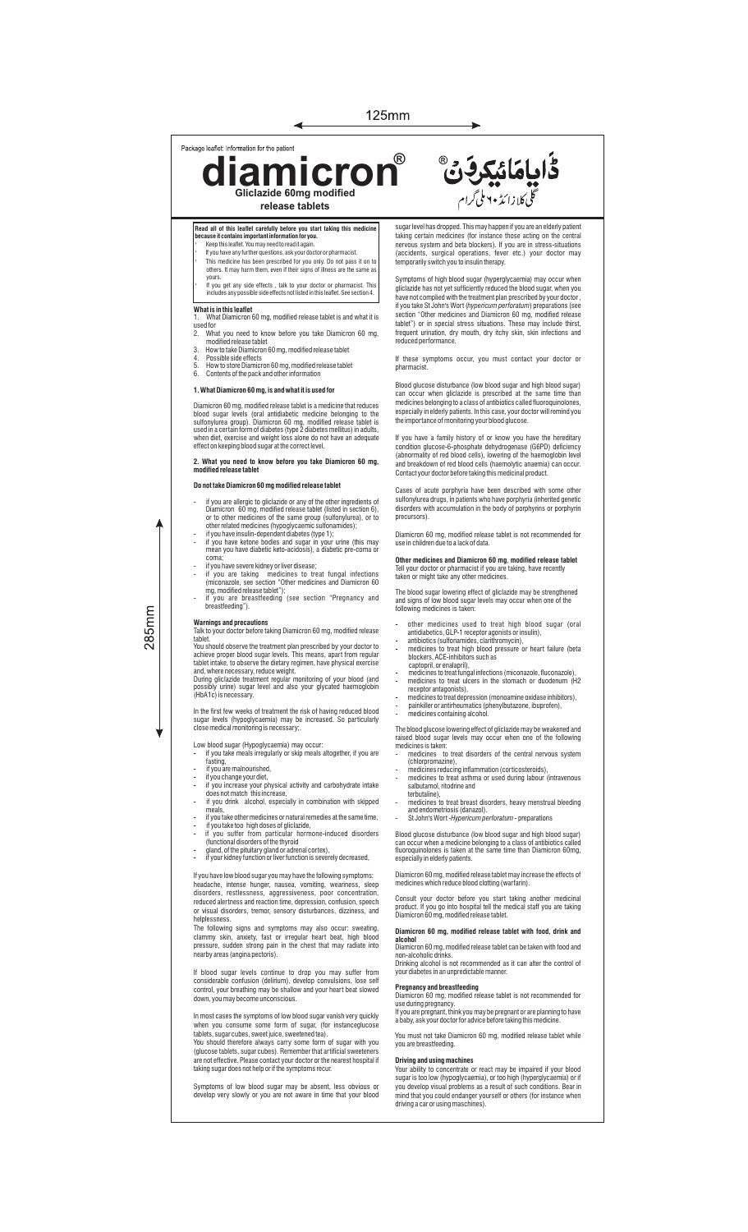125mm

Package leaflet: Information for the patient

**diamicron Gliclazide 60mg modified release tablets ®**

◀

**Read all of this leaflet carefully before you start taking this medictle and in the start of the start of the**<br>**Inecause it contains important information for you.** 

- **because it contains important information for you.** · Keep this leaet. You may need to read it again.
- If you have any further questions, ask your doctor or pharmacist. · This medicine has been prescribed for you only. Do not pass it on to others. It may harm them, even if their signs of illness are the same as
- yours. · If you get any side effects , talk to your doctor or pharmacist. This includes any possible side effects not listed in this leaet. See section 4.

- **What is in this leaflet** 1. What Diamicron 60 mg, modified release tablet is and what it is used for 2. What you need to know before you take Diamicron 60 mg,
- 
- modified release tablet 3. How to take Diamicron 60 mg, modified release tablet 4. Possible side effects 5. How to store Diamicron 60 mg, modified release tablet 6. Contents of the pack and other information
- 

## **1. What Diamicron 60 mg, is and what it is used for**

Diamicron 60 mg, modified release tablet is a medicine that reduces<br>blood sugar levels (oral antidiabetic medicine belonging to the<br>suifonylurea group). Diamicron 60 mg, modified release tablet is<br>used in a certain form of

## **2. What you need to know before you take Diamicron 60 mg, modified release tablet**

## **Do not take Diamicron 60 mg modified release tablet**

- if you are allergic to gliclazide or any of the other ingredients of<br>Diamicron 60 mg, modified release table( listed in section 6),<br>or to other medicines of the same group (sulfonylurea), or to<br>other related medicines (h
- 
- 
- 
- 

## **Warnings and precautions**

 $285$ mm

Talk to your doctor before taking Diamicron 60 mg, modified release tablet.<br>The Sousside of the tradiment plan prescribed by your doctor to<br>achieve proper blood sugar levels. This means, apart from regular<br>tablet intake, to observe the dietary regimen, have physical exercise<br>and, where nec

In the first few weeks of treatment the risk of having reduced blood sugar levels (hypoglycaemia) may be increased. So particularly close medical monitoring is necessary;.

Low blood sugar (Hypoglycaemia) may occur:

- if you take meals irregularly or skip meals altogether, if you are fasting, if you are malnourished,
- 
- if you change your diet,
- if you increase your physical activity and carbohydrate intake does not match this increase, if you drink alcohol, especially in combination with skipped
- 
- if you take other m edicines or natural remedies at the same time,
- if you take too high doses of gliclazide,<br>- if you suffer from particular hormone-induced disorders<br>- (functional disorders of the thyroid<br>- gland, of the pituitary gland or adrenal cortex),<br>- if your kidney function or
- 
- 

If you have low blood sugar you may have the following symptoms: headache, intense hunger, nausea, vomiting, weariness, sleep disorders, restlessness, aggressiveness, poor concentration, reduced alertness and reaction time, depression, confusion, speech or visual disorders, tremor, sensory disturbances, dizziness, and

helplessness. The following signs and symptoms may also occur: sweating, clammy skin, anxiety, fast or irregular heart beat, high blood pressure, sudden strong pain in the chest that may radiate into nearby areas (angina pectoris).

If blood sugar levels continue to drop you may suffer from<br>considerable confusion (delirium), develop convulsions, lose self<br>control, your breathing may be shallow and your heart beat slowed<br>down, you may become unconsciou

In most cases the symptoms of low blood sugar vanish very quickly

when you consume some form of sugar, (for instanceglucose<br>tablets, sugar cubes, sweet juice, sweetened tea).<br>You should therefore always carry some form of sugar with you<br>(glucose tablets, sugar cubes). Remember that artif

Symptoms of low blood sugar may be absent, less obvious or develop very slowly or you are not aware in time that your blood sugar level has dropped. This may happen if you are an elderly patient taking certain medicines (for instance those acting on the central nervous system and beta blockers). If you are in stress-situations (accidents, surgical operations, fever etc.) your doctor may temporarily switch you to insulin therapy.

ػؙٳۑٳڡؘڶؽڮڔڣ۞

گلی<br>گلی کلازا ئڈ ۲۰ ملی گرام

Symptoms of high blood sugar (hyperglycaemia) may occur when gliclazide has not yet sufficiently reduced the blood sugar, when you have not complied with the treatment plan prescribed by your doctor , if you take St John's Wort (*hypericum perforatum*) preparations (see<br>section "Other medicines and Diamicron 60 mg, modified release<br>tablet") or in special stress situations. These may include thirst,<br>frequent urination, d

If these symptoms occur, you must contact your doctor or pharmacist.

Blood glucose disturbance (low blood sugar and high blood sugar) can occur when gliclazide is prescribed at the same time than medicines belonging to a class of antibiotics called fluoroquinolones, especially in elderly patients. In this case, your doctor will remind you the importance of monitoring your blood glucose.

If you have a family history of or know you have the hereditary condition glucose-6-phosphate dehydrogenase (G6PD) deficiency<br>(abnormality of red blood cells), lowering of the haemoglobin level<br>and breakdown of red blood cells (haemolytic anaemia) can occur.<br>Contactyour doctor before t

Cases of acute porphyria have been described with some other sulfonylurea drugs, in patients who have porphyria (inherited genetic disorders with accumulation in the body of porphyrins or porphyrin precursors).

Diamicron 60 mg, modified release tablet is not recommended for use in children due to a lack of data.

## **Other medicines and Diamicron 60 mg**, **modified release tablet** Tell your doctor or pharmacist if you are taking, have recently taken or might take any other medicines.

The blood sugar lowering effect of gliclazide may be strengthened and signs of low blood sugar levels may occur when one of the following medicines is taken:

- other medicines used to treat high blood sugar (oral<br>
antidiabetics, GLP-1 receptor agonists orinsulin),<br>
antibiotics (sulfonamides, clarithromycin),<br>
 medicines to treat high blood pressure or heart failure (beta<br>
bloc
- 
- 
- 

The blood glucose lowering effect of gliclazide may be weakened and raised blood sugar levels may occur when one of the following medicines is taken: - medicines to treat disorders of the central nervous system

- (chlorpromazine), - medicines reducing inflammation (corticosteroids),
- medicines to treat asthma or used during labour (intravenous salbutamol, ritodrine and terbutaline),
- medicines to treat breast disorders, heavy menstrual bleeding
- and endometriosis (danazol). St John's Wort -*Hypericum perforatum*  preparations

Blood glucose disturbance (low blood sugar and high blood sugar)<br>can occur when a medicine belonging to a class of antibiotics called<br>fluoroquinolones is taken at the same time than Diamicron 60mg,<br>especially in elderly pa

Diamicron 60 mg, modified release tablet may increase the effects of medicines which reduce blood clotting (warfarin).

Consult your doctor before you start taking another medicinal product. If you go into hospital tell the medical staff you are taking Diamicron 60 mg, modified release tablet.

## **Diamicron 60 mg, modified release tablet with food, drink and alcohol**

mountain 60 mg, modified release tablet can be taken with food and<br>non-alcoholic drinks non-alcoholic drinks. Drinking alcohol is not recommended as it can alter the control of your diabetes in an unpredictable manner.

**Pregnancy and breastfeeding** Diamicron 60 mg, modified release tablet is not recommended for use during pregnancy. If you are pregnant, think you may be pregnant or are planning to have a baby, ask your doctor for advice before taking this medicine.

You must not take Diamicron 60 mg, modified release tablet while you are breastfeeding.

## **Driving and using machines**

Your ability to concentrate or react may be impaired if your blood sugar is too low (hypoglycaemia), or too high (hyperglycaemia) or if<br>you develop visual problems as a result of such conditions. Bear in<br>mind that you could endanger yourself or others (for instance when<br>driving a car or u